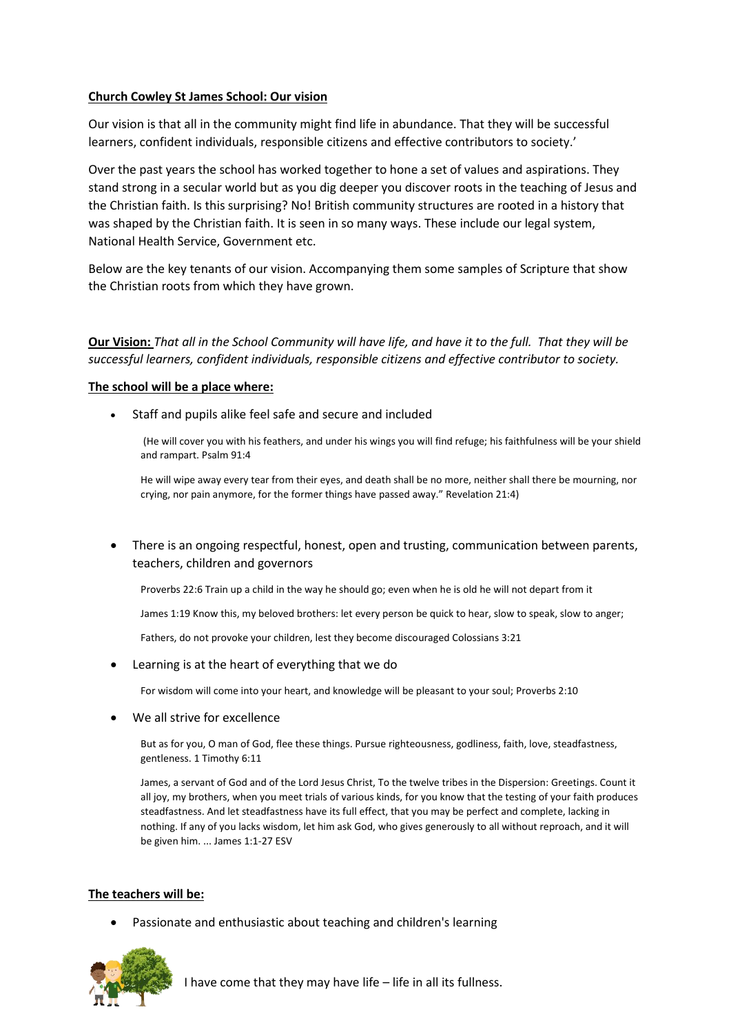# **Church Cowley St James School: Our vision**

Our vision is that all in the community might find life in abundance. That they will be successful learners, confident individuals, responsible citizens and effective contributors to society.'

Over the past years the school has worked together to hone a set of values and aspirations. They stand strong in a secular world but as you dig deeper you discover roots in the teaching of Jesus and the Christian faith. Is this surprising? No! British community structures are rooted in a history that was shaped by the Christian faith. It is seen in so many ways. These include our legal system, National Health Service, Government etc.

Below are the key tenants of our vision. Accompanying them some samples of Scripture that show the Christian roots from which they have grown.

**Our Vision:** *That all in the School Community will have life, and have it to the full. That they will be successful learners, confident individuals, responsible citizens and effective contributor to society.*

# **The school will be a place where:**

Staff and pupils alike feel safe and secure and included

(He will cover you with his feathers, and under his wings you will find refuge; his faithfulness will be your shield and rampart. Psalm 91:4

He will wipe away every tear from their eyes, and death shall be no more, neither shall there be mourning, nor crying, nor pain anymore, for the former things have passed away." Revelation 21:4)

 There is an ongoing respectful, honest, open and trusting, communication between parents, teachers, children and governors

Proverbs 22:6 Train up a child in the way he should go; even when he is old he will not depart from it

James 1:19 Know this, my beloved brothers: let every person be quick to hear, slow to speak, slow to anger;

Fathers, do not provoke your children, lest they become discouraged [Colossians 3:21](https://www.biblegateway.com/passage/?search=Colossians+3%3A21&version=ESV)

Learning is at the heart of everything that we do

For wisdom will come into your heart, and knowledge will be pleasant to your soul[; Proverbs 2:10](https://www.biblegateway.com/passage/?search=Proverbs+2%3A10&version=ESV)

We all strive for excellence

But as for you, O man of God, flee these things. Pursue righteousness, godliness, faith, love, steadfastness, gentleness. 1 Timothy 6:11

James, a servant of God and of the Lord Jesus Christ, To the twelve tribes in the Dispersion: Greetings. Count it all joy, my brothers, when you meet trials of various kinds, for you know that the testing of your faith produces steadfastness. And let steadfastness have its full effect, that you may be perfect and complete, lacking in nothing. If any of you lacks wisdom, let him ask God, who gives generously to all without reproach, and it will be given him. ... James 1:1-27 ESV

# **The teachers will be:**

Passionate and enthusiastic about teaching and children's learning



I have come that they may have life – life in all its fullness.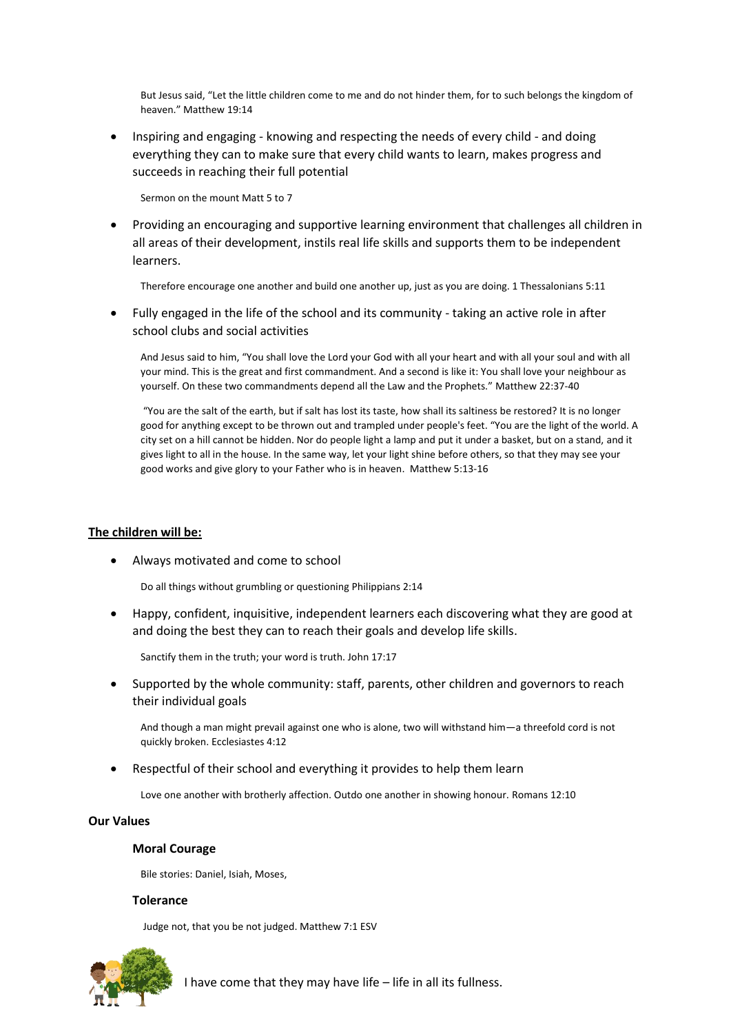But Jesus said, "Let the little children come to me and do not hinder them, for to such belongs the kingdom of heaven." Matthew 19:14

 Inspiring and engaging - knowing and respecting the needs of every child - and doing everything they can to make sure that every child wants to learn, makes progress and succeeds in reaching their full potential

Sermon on the mount Matt 5 to 7

 Providing an encouraging and supportive learning environment that challenges all children in all areas of their development, instils real life skills and supports them to be independent learners.

Therefore encourage one another and build one another up, just as you are doing. 1 Thessalonians 5:11

 Fully engaged in the life of the school and its community - taking an active role in after school clubs and social activities

And Jesus said to him, "You shall love the Lord your God with all your heart and with all your soul and with all your mind. This is the great and first commandment. And a second is like it: You shall love your neighbour as yourself. On these two commandments depend all the Law and the Prophets." Matthew 22:37-40

"You are the salt of the earth, but if salt has lost its taste, how shall its saltiness be restored? It is no longer good for anything except to be thrown out and trampled under people's feet. "You are the light of the world. A city set on a hill cannot be hidden. Nor do people light a lamp and put it under a basket, but on a stand, and it gives light to all in the house. In the same way, let your light shine before others, so that they may see your good works and give glory to your Father who is in heaven. Matthew 5:13-16

### **The children will be:**

Always motivated and come to school

Do all things without grumbling or questioning Philippians 2:14

 Happy, confident, inquisitive, independent learners each discovering what they are good at and doing the best they can to reach their goals and develop life skills.

Sanctify them in the truth; your word is truth. John 17:17

 Supported by the whole community: staff, parents, other children and governors to reach their individual goals

And though a man might prevail against one who is alone, two will withstand him—a threefold cord is not quickly broken. Ecclesiastes 4:12

Respectful of their school and everything it provides to help them learn

Love one another with brotherly affection. Outdo one another in showing honour. Romans 12:10

#### **Our Values**

#### **Moral Courage**

Bile stories: Daniel, Isiah, Moses,

#### **Tolerance**

Judge not, that you be not judged. Matthew 7:1 ESV



I have come that they may have life – life in all its fullness.